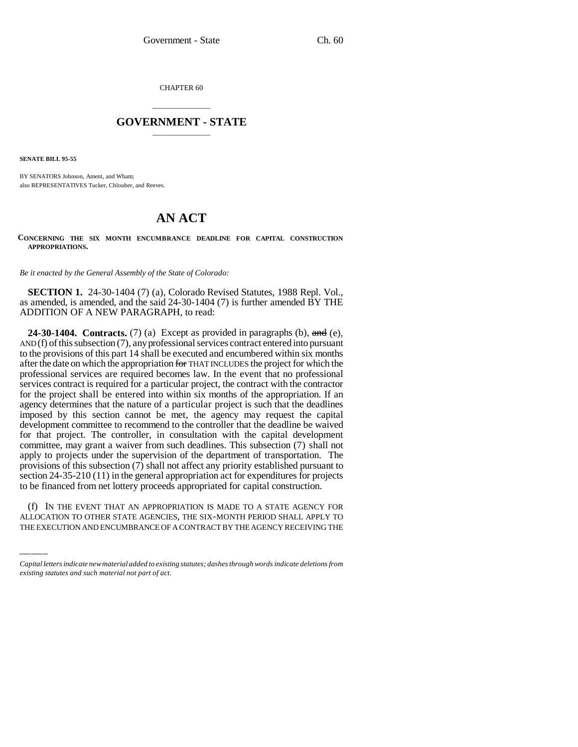CHAPTER 60

## \_\_\_\_\_\_\_\_\_\_\_\_\_\_\_ **GOVERNMENT - STATE** \_\_\_\_\_\_\_\_\_\_\_\_\_\_\_

**SENATE BILL 95-55**

BY SENATORS Johnson, Ament, and Wham; also REPRESENTATIVES Tucker, Chlouber, and Reeves.

## **AN ACT**

**CONCERNING THE SIX MONTH ENCUMBRANCE DEADLINE FOR CAPITAL CONSTRUCTION APPROPRIATIONS.**

*Be it enacted by the General Assembly of the State of Colorado:*

**SECTION 1.** 24-30-1404 (7) (a), Colorado Revised Statutes, 1988 Repl. Vol., as amended, is amended, and the said 24-30-1404 (7) is further amended BY THE ADDITION OF A NEW PARAGRAPH, to read:

to be financed from net lottery proceeds appropriated for capital construction. **24-30-1404.** Contracts. (7) (a) Except as provided in paragraphs (b),  $\theta$ , and (e), AND (f) of this subsection (7), any professional services contract entered into pursuant to the provisions of this part 14 shall be executed and encumbered within six months after the date on which the appropriation for THAT INCLUDES the project for which the professional services are required becomes law. In the event that no professional services contract is required for a particular project, the contract with the contractor for the project shall be entered into within six months of the appropriation. If an agency determines that the nature of a particular project is such that the deadlines imposed by this section cannot be met, the agency may request the capital development committee to recommend to the controller that the deadline be waived for that project. The controller, in consultation with the capital development committee, may grant a waiver from such deadlines. This subsection (7) shall not apply to projects under the supervision of the department of transportation. The provisions of this subsection (7) shall not affect any priority established pursuant to section 24-35-210 (11) in the general appropriation act for expenditures for projects

(f) IN THE EVENT THAT AN APPROPRIATION IS MADE TO A STATE AGENCY FOR ALLOCATION TO OTHER STATE AGENCIES, THE SIX-MONTH PERIOD SHALL APPLY TO THE EXECUTION AND ENCUMBRANCE OF A CONTRACT BY THE AGENCY RECEIVING THE

*Capital letters indicate new material added to existing statutes; dashes through words indicate deletions from existing statutes and such material not part of act.*